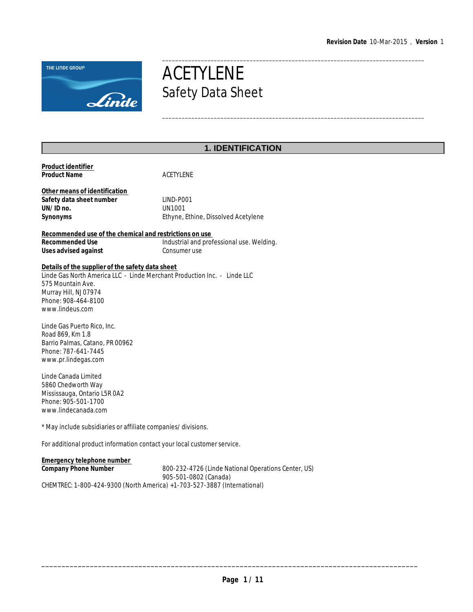\_\_\_\_\_\_\_\_\_\_\_\_\_\_\_\_\_\_\_\_\_\_\_\_\_\_\_\_\_\_\_\_\_\_\_\_\_\_\_\_\_\_\_\_\_\_\_\_\_\_\_\_\_\_\_\_\_\_\_\_\_\_\_\_\_\_\_\_\_\_\_\_\_\_\_\_\_\_\_\_\_



# ACETYLENE Safety Data Sheet

# **1. IDENTIFICATION**

| Product identifier<br>Product Name                                                                                                                                                                                   | <b>ACETYLENE</b>                                           |
|----------------------------------------------------------------------------------------------------------------------------------------------------------------------------------------------------------------------|------------------------------------------------------------|
| Other means of identification<br>Safety data sheet number<br>UN/ID no.<br>Synonyms                                                                                                                                   | LIND-P001<br>UN1001<br>Ethyne, Ethine, Dissolved Acetylene |
| Recommended use of the chemical and restrictions on use<br>Recommended Use<br>Uses advised against                                                                                                                   | Industrial and professional use. Welding.<br>Consumer use  |
| Details of the supplier of the safety data sheet<br>Linde Gas North America LLC - Linde Merchant Production Inc. - Linde LLC<br>575 Mountain Ave.<br>Murray Hill, NJ 07974<br>Phone: 908-464-8100<br>www.lindeus.com |                                                            |
| Linde Gas Puerto Rico, Inc.<br>Road 869, Km 1.8<br>Barrio Palmas, Catano, PR 00962<br>Phone: 787-641-7445<br>www.pr.lindegas.com                                                                                     |                                                            |
| Linde Canada Limited<br>5860 Chedworth Way<br>Mississauga, Ontario L5R 0A2<br>Phone: 905-501-1700<br>www.lindecanada.com                                                                                             |                                                            |
| * May include subsidiaries or affiliate companies/divisions.                                                                                                                                                         |                                                            |

For additional product information contact your local customer service.

**Emergency telephone number Company Phone Number** 800-232-4726 (Linde National Operations Center, US) 905-501-0802 (Canada) CHEMTREC: 1-800-424-9300 (North America) +1-703-527-3887 (International)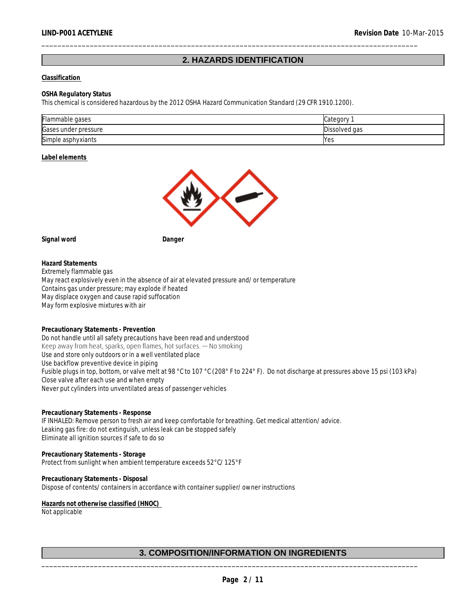## **2. HAZARDS IDENTIFICATION**

\_\_\_\_\_\_\_\_\_\_\_\_\_\_\_\_\_\_\_\_\_\_\_\_\_\_\_\_\_\_\_\_\_\_\_\_\_\_\_\_\_\_\_\_\_\_\_\_\_\_\_\_\_\_\_\_\_\_\_\_\_\_\_\_\_\_\_\_\_\_\_\_\_\_\_\_\_\_\_\_\_\_\_\_\_\_\_\_\_\_\_\_\_

#### **Classification**

#### **OSHA Regulatory Status**

This chemical is considered hazardous by the 2012 OSHA Hazard Communication Standard (29 CFR 1910.1200).

| Flammable gases      | Categor       |
|----------------------|---------------|
| Gases under pressure | Dissolved gas |
| Simple asphyxiants   | Yes           |

**Label elements** 



**Signal word Danger**

**Hazard Statements** Extremely flammable gas May react explosively even in the absence of air at elevated pressure and/or temperature Contains gas under pressure; may explode if heated May displace oxygen and cause rapid suffocation May form explosive mixtures with air

**Precautionary Statements - Prevention** Do not handle until all safety precautions have been read and understood Keep away from heat, sparks, open flames, hot surfaces.  $-$  No smoking Use and store only outdoors or in a well ventilated place Use backflow preventive device in piping Fusible plugs in top, bottom, or valve melt at 98 °C to 107 °C (208° F to 224° F). Do not discharge at pressures above 15 psi (103 kPa) Close valve after each use and when empty Never put cylinders into unventilated areas of passenger vehicles

**Precautionary Statements - Response** IF INHALED: Remove person to fresh air and keep comfortable for breathing. Get medical attention/advice. Leaking gas fire: do not extinguish, unless leak can be stopped safely Eliminate all ignition sources if safe to do so

**Precautionary Statements - Storage** Protect from sunlight when ambient temperature exceeds 52°C/125°F

**Precautionary Statements - Disposal** Dispose of contents/containers in accordance with container supplier/owner instructions

**Hazards not otherwise classified (HNOC)**  Not applicable

## **3. COMPOSITION/INFORMATION ON INGREDIENTS**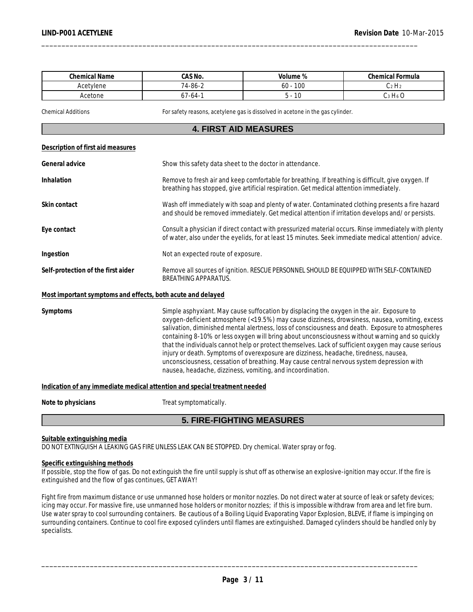| <b>Chemical Name</b>  | 0.001<br>JAS NO.                         | Volume %                | <b>Chemical Formula</b> |
|-----------------------|------------------------------------------|-------------------------|-------------------------|
| Acetylenc<br>ene<br>v | -<br>$74 - 86 - 1$                       | 100<br>οU               | н.<br><b>U</b> 4 I      |
| Acetone               | $\overline{\phantom{a}}$<br>7-64-<br>. . | $\sim$<br>$\sim$<br>, U | н.<br>10                |

Chemical Additions For safety reasons, acetylene gas is dissolved in acetone in the gas cylinder.

\_\_\_\_\_\_\_\_\_\_\_\_\_\_\_\_\_\_\_\_\_\_\_\_\_\_\_\_\_\_\_\_\_\_\_\_\_\_\_\_\_\_\_\_\_\_\_\_\_\_\_\_\_\_\_\_\_\_\_\_\_\_\_\_\_\_\_\_\_\_\_\_\_\_\_\_\_\_\_\_\_\_\_\_\_\_\_\_\_\_\_\_\_

## **4. FIRST AID MEASURES**

|--|

| General advice                                              | Show this safety data sheet to the doctor in attendance.                                                                                                                                                                                                                                                                                                                                                                                                                                                                                                                                            |
|-------------------------------------------------------------|-----------------------------------------------------------------------------------------------------------------------------------------------------------------------------------------------------------------------------------------------------------------------------------------------------------------------------------------------------------------------------------------------------------------------------------------------------------------------------------------------------------------------------------------------------------------------------------------------------|
| Inhalation                                                  | Remove to fresh air and keep comfortable for breathing. If breathing is difficult, give oxygen. If<br>breathing has stopped, give artificial respiration. Get medical attention immediately.                                                                                                                                                                                                                                                                                                                                                                                                        |
| Skin contact                                                | Wash off immediately with soap and plenty of water. Contaminated clothing presents a fire hazard<br>and should be removed immediately. Get medical attention if irritation develops and/or persists.                                                                                                                                                                                                                                                                                                                                                                                                |
| Eye contact                                                 | Consult a physician if direct contact with pressurized material occurs. Rinse immediately with plenty<br>of water, also under the eyelids, for at least 15 minutes. Seek immediate medical attention/advice.                                                                                                                                                                                                                                                                                                                                                                                        |
| Ingestion                                                   | Not an expected route of exposure.                                                                                                                                                                                                                                                                                                                                                                                                                                                                                                                                                                  |
| Self-protection of the first aider                          | Remove all sources of ignition. RESCUE PERSONNEL SHOULD BE EQUIPPED WITH SELF-CONTAINED<br><b>BREATHING APPARATUS.</b>                                                                                                                                                                                                                                                                                                                                                                                                                                                                              |
| Most important symptoms and effects, both acute and delayed |                                                                                                                                                                                                                                                                                                                                                                                                                                                                                                                                                                                                     |
| Symptoms                                                    | Simple asphyxiant. May cause suffocation by displacing the oxygen in the air. Exposure to<br>oxygen-deficient atmosphere (<19.5%) may cause dizziness, drowsiness, nausea, vomiting, excess<br>salivation, diminished mental alertness, loss of consciousness and death. Exposure to atmospheres<br>containing 8-10% or less oxygen will bring about unconsciousness without warning and so quickly<br>that the individuals cannot help or protect themselves. Lack of sufficient oxygen may cause serious<br>injury or death. Symptoms of overexposure are dizziness, headache, tiredness, nausea, |

**Indication of any immediate medical attention and special treatment needed**

Note to physicians **Note to physicians** Treat symptomatically.

### **5. FIRE-FIGHTING MEASURES**

nausea, headache, dizziness, vomiting, and incoordination.

unconsciousness, cessation of breathing. May cause central nervous system depression with

#### **Suitable extinguishing media**

DO NOT EXTINGUISH A LEAKING GAS FIRE UNLESS LEAK CAN BE STOPPED. Dry chemical. Water spray or fog.

#### **Specific extinguishing methods**

If possible, stop the flow of gas. Do not extinguish the fire until supply is shut off as otherwise an explosive-ignition may occur. If the fire is extinguished and the flow of gas continues, GET AWAY!

Fight fire from maximum distance or use unmanned hose holders or monitor nozzles. Do not direct water at source of leak or safety devices; icing may occur. For massive fire, use unmanned hose holders or monitor nozzles; if this is impossible withdraw from area and let fire burn. Use water spray to cool surrounding containers. Be cautious of a Boiling Liquid Evaporating Vapor Explosion, BLEVE, if flame is impinging on surrounding containers. Continue to cool fire exposed cylinders until flames are extinguished. Damaged cylinders should be handled only by specialists.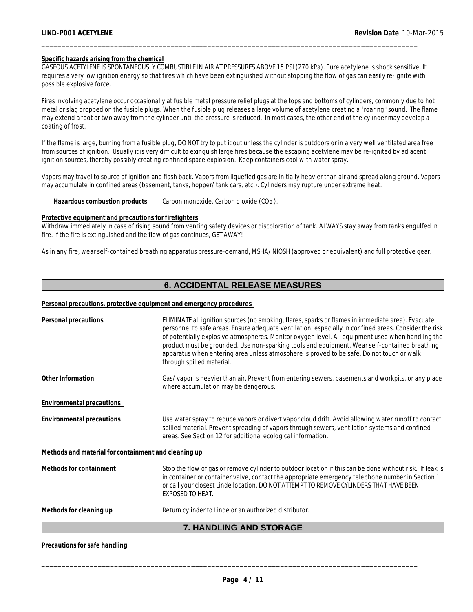#### **Specific hazards arising from the chemical**

GASEOUS ACETYLENE IS SPONTANEOUSLY COMBUSTIBLE IN AIR AT PRESSURES ABOVE 15 PSI (270 kPa). Pure acetylene is shock sensitive. It requires a very low ignition energy so that fires which have been extinguished without stopping the flow of gas can easily re-ignite with possible explosive force.

\_\_\_\_\_\_\_\_\_\_\_\_\_\_\_\_\_\_\_\_\_\_\_\_\_\_\_\_\_\_\_\_\_\_\_\_\_\_\_\_\_\_\_\_\_\_\_\_\_\_\_\_\_\_\_\_\_\_\_\_\_\_\_\_\_\_\_\_\_\_\_\_\_\_\_\_\_\_\_\_\_\_\_\_\_\_\_\_\_\_\_\_\_

Fires involving acetylene occur occasionally at fusible metal pressure relief plugs at the tops and bottoms of cylinders, commonly due to hot metal or slag dropped on the fusible plugs. When the fusible plug releases a large volume of acetylene creating a "roaring" sound. The flame may extend a foot or two away from the cylinder until the pressure is reduced. In most cases, the other end of the cylinder may develop a coating of frost.

If the flame is large, burning from a fusible plug, DO NOT try to put it out unless the cylinder is outdoors or in a very well ventilated area free from sources of ignition. Usually it is very difficult to exinguish large fires because the escaping acetylene may be re-ignited by adjacent ignition sources, thereby possibly creating confined space explosion. Keep containers cool with water spray.

Vapors may travel to source of ignition and flash back. Vapors from liquefied gas are initially heavier than air and spread along ground. Vapors may accumulate in confined areas (basement, tanks, hopper/tank cars, etc.). Cylinders may rupture under extreme heat.

Hazardous combustion products Carbon monoxide. Carbon dioxide (CO<sub>2</sub>).

#### **Protective equipment and precautions for firefighters**

Withdraw immediately in case of rising sound from venting safety devices or discoloration of tank. ALWAYS stay away from tanks engulfed in fire. If the fire is extinguished and the flow of gas continues, GET AWAY!

As in any fire, wear self-contained breathing apparatus pressure-demand, MSHA/NIOSH (approved or equivalent) and full protective gear.

## **6. ACCIDENTAL RELEASE MEASURES**

#### **Personal precautions, protective equipment and emergency procedures**

**Precautions for safe handling**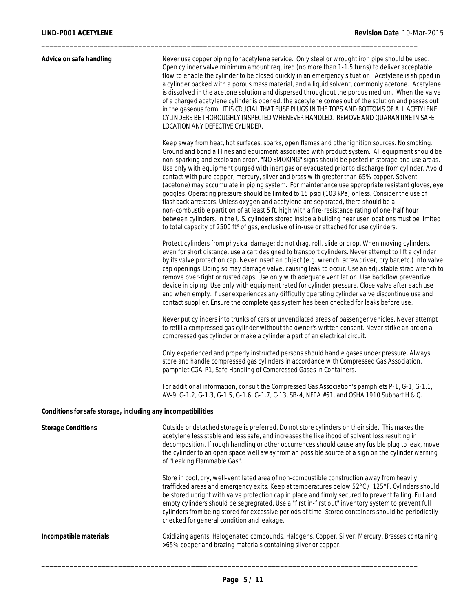| Advice on safe handling                                      | Never use copper piping for acetylene service. Only steel or wrought iron pipe should be used.<br>Open cylinder valve minimum amount required (no more than 1-1.5 turns) to deliver acceptable<br>flow to enable the cylinder to be closed quickly in an emergency situation. Acetylene is shipped in<br>a cylinder packed with a porous mass material, and a liquid solvent, commonly acetone. Acetylene<br>is dissolved in the acetone solution and dispersed throughout the porous medium. When the valve<br>of a charged acetylene cylinder is opened, the acetylene comes out of the solution and passes out<br>in the gaseous form. IT IS CRUCIAL THAT FUSE PLUGS IN THE TOPS AND BOTTOMS OF ALL ACETYLENE<br>CYLINDERS BE THOROUGHLY INSPECTED WHENEVER HANDLED. REMOVE AND QUARANTINE IN SAFE<br>LOCATION ANY DEFECTIVE CYLINDER.<br>Keep away from heat, hot surfaces, sparks, open flames and other ignition sources. No smoking.<br>Ground and bond all lines and equipment associated with product system. All equipment should be<br>non-sparking and explosion proof. "NO SMOKING" signs should be posted in storage and use areas.<br>Use only with equipment purged with inert gas or evacuated prior to discharge from cylinder. Avoid<br>contact with pure copper, mercury, silver and brass with greater than 65% copper. Solvent<br>(acetone) may accumulate in piping system. For maintenance use appropriate resistant gloves, eye<br>goggles. Operating pressure should be limited to 15 psig (103 kPa) or less. Consider the use of<br>flashback arrestors. Unless oxygen and acetylene are separated, there should be a<br>non-combustible partition of at least 5 ft. high with a fire-resistance rating of one-half hour<br>between cylinders. In the U.S. cylinders stored inside a building near user locations must be limited<br>to total capacity of 2500 ft <sup>3</sup> of gas, exclusive of in-use or attached for use cylinders.<br>Protect cylinders from physical damage; do not drag, roll, slide or drop. When moving cylinders,<br>even for short distance, use a cart designed to transport cylinders. Never attempt to lift a cylinder<br>by its valve protection cap. Never insert an object (e.g. wrench, screwdriver, pry bar,etc.) into valve<br>cap openings. Doing so may damage valve, causing leak to occur. Use an adjustable strap wrench to<br>remove over-tight or rusted caps. Use only with adequate ventilation. Use backflow preventive<br>device in piping. Use only with equipment rated for cylinder pressure. Close valve after each use<br>and when empty. If user experiences any difficulty operating cylinder valve discontinue use and |
|--------------------------------------------------------------|------------------------------------------------------------------------------------------------------------------------------------------------------------------------------------------------------------------------------------------------------------------------------------------------------------------------------------------------------------------------------------------------------------------------------------------------------------------------------------------------------------------------------------------------------------------------------------------------------------------------------------------------------------------------------------------------------------------------------------------------------------------------------------------------------------------------------------------------------------------------------------------------------------------------------------------------------------------------------------------------------------------------------------------------------------------------------------------------------------------------------------------------------------------------------------------------------------------------------------------------------------------------------------------------------------------------------------------------------------------------------------------------------------------------------------------------------------------------------------------------------------------------------------------------------------------------------------------------------------------------------------------------------------------------------------------------------------------------------------------------------------------------------------------------------------------------------------------------------------------------------------------------------------------------------------------------------------------------------------------------------------------------------------------------------------------------------------------------------------------------------------------------------------------------------------------------------------------------------------------------------------------------------------------------------------------------------------------------------------------------------------------------------------------------------------------------------------------------------------------------------------------------------------------------------------------------------------------------------------------------------------------------------------------------------------------------------------|
|                                                              | contact supplier. Ensure the complete gas system has been checked for leaks before use.<br>Never put cylinders into trunks of cars or unventilated areas of passenger vehicles. Never attempt<br>to refill a compressed gas cylinder without the owner's written consent. Never strike an arc on a<br>compressed gas cylinder or make a cylinder a part of an electrical circuit.<br>Only experienced and properly instructed persons should handle gases under pressure. Always<br>store and handle compressed gas cylinders in accordance with Compressed Gas Association,<br>pamphlet CGA-P1, Safe Handling of Compressed Gases in Containers.                                                                                                                                                                                                                                                                                                                                                                                                                                                                                                                                                                                                                                                                                                                                                                                                                                                                                                                                                                                                                                                                                                                                                                                                                                                                                                                                                                                                                                                                                                                                                                                                                                                                                                                                                                                                                                                                                                                                                                                                                                                          |
|                                                              | For additional information, consult the Compressed Gas Association's pamphlets P-1, G-1, G-1.1,<br>AV-9, G-1.2, G-1.3, G-1.5, G-1.6, G-1.7, C-13, SB-4, NFPA #51, and OSHA 1910 Subpart H & Q.                                                                                                                                                                                                                                                                                                                                                                                                                                                                                                                                                                                                                                                                                                                                                                                                                                                                                                                                                                                                                                                                                                                                                                                                                                                                                                                                                                                                                                                                                                                                                                                                                                                                                                                                                                                                                                                                                                                                                                                                                                                                                                                                                                                                                                                                                                                                                                                                                                                                                                             |
| Conditions for safe storage, including any incompatibilities |                                                                                                                                                                                                                                                                                                                                                                                                                                                                                                                                                                                                                                                                                                                                                                                                                                                                                                                                                                                                                                                                                                                                                                                                                                                                                                                                                                                                                                                                                                                                                                                                                                                                                                                                                                                                                                                                                                                                                                                                                                                                                                                                                                                                                                                                                                                                                                                                                                                                                                                                                                                                                                                                                                            |
| <b>Storage Conditions</b>                                    | Outside or detached storage is preferred. Do not store cylinders on their side. This makes the<br>acetylene less stable and less safe, and increases the likelihood of solvent loss resulting in<br>decomposition. If rough handling or other occurrences should cause any fusible plug to leak, move<br>the cylinder to an open space well away from an possible source of a sign on the cylinder warning<br>of "Leaking Flammable Gas".<br>Store in cool, dry, well-ventilated area of non-combustible construction away from heavily                                                                                                                                                                                                                                                                                                                                                                                                                                                                                                                                                                                                                                                                                                                                                                                                                                                                                                                                                                                                                                                                                                                                                                                                                                                                                                                                                                                                                                                                                                                                                                                                                                                                                                                                                                                                                                                                                                                                                                                                                                                                                                                                                                    |
|                                                              | trafficked areas and emergency exits. Keep at temperatures below 52°C / 125°F. Cylinders should<br>be stored upright with valve protection cap in place and firmly secured to prevent falling. Full and<br>empty cylinders should be segregrated. Use a "first in-first out" inventory system to prevent full<br>cylinders from being stored for excessive periods of time. Stored containers should be periodically<br>checked for general condition and leakage.                                                                                                                                                                                                                                                                                                                                                                                                                                                                                                                                                                                                                                                                                                                                                                                                                                                                                                                                                                                                                                                                                                                                                                                                                                                                                                                                                                                                                                                                                                                                                                                                                                                                                                                                                                                                                                                                                                                                                                                                                                                                                                                                                                                                                                         |
|                                                              |                                                                                                                                                                                                                                                                                                                                                                                                                                                                                                                                                                                                                                                                                                                                                                                                                                                                                                                                                                                                                                                                                                                                                                                                                                                                                                                                                                                                                                                                                                                                                                                                                                                                                                                                                                                                                                                                                                                                                                                                                                                                                                                                                                                                                                                                                                                                                                                                                                                                                                                                                                                                                                                                                                            |

**Incompatible materials** Oxidizing agents. Halogenated compounds. Halogens. Copper. Silver. Mercury. Brasses containing >65% copper and brazing materials containing silver or copper.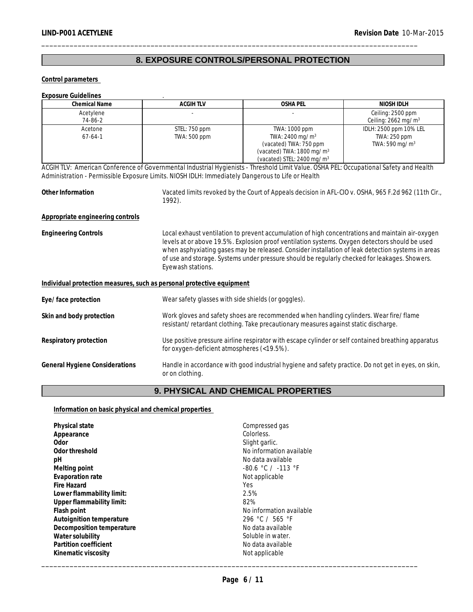# **8. EXPOSURE CONTROLS/PERSONAL PROTECTION**

\_\_\_\_\_\_\_\_\_\_\_\_\_\_\_\_\_\_\_\_\_\_\_\_\_\_\_\_\_\_\_\_\_\_\_\_\_\_\_\_\_\_\_\_\_\_\_\_\_\_\_\_\_\_\_\_\_\_\_\_\_\_\_\_\_\_\_\_\_\_\_\_\_\_\_\_\_\_\_\_\_\_\_\_\_\_\_\_\_\_\_\_\_

**Control parameters** 

| <b>Exposure Guidelines</b>                                                                                                                                                                                                                  |                                                                                                                        |                                                                                                                                                                                                                                                                                                                                                                                                          |                                                                      |  |  |
|---------------------------------------------------------------------------------------------------------------------------------------------------------------------------------------------------------------------------------------------|------------------------------------------------------------------------------------------------------------------------|----------------------------------------------------------------------------------------------------------------------------------------------------------------------------------------------------------------------------------------------------------------------------------------------------------------------------------------------------------------------------------------------------------|----------------------------------------------------------------------|--|--|
| <b>Chemical Name</b>                                                                                                                                                                                                                        | <b>ACGIHTLV</b>                                                                                                        | <b>OSHA PEL</b>                                                                                                                                                                                                                                                                                                                                                                                          | NIOSH IDLH                                                           |  |  |
| Acetylene<br>74-86-2                                                                                                                                                                                                                        |                                                                                                                        |                                                                                                                                                                                                                                                                                                                                                                                                          | Ceiling: 2500 ppm<br>Ceiling: $2662$ mg/m <sup>3</sup>               |  |  |
| Acetone<br>$67 - 64 - 1$                                                                                                                                                                                                                    | STEL: 750 ppm<br>TWA: 500 ppm                                                                                          | TWA: 1000 ppm<br>TWA: 2400 mg/m <sup>3</sup><br>(vacated) TWA: 750 ppm<br>(vacated) TWA: 1800 mg/m <sup>3</sup><br>(vacated) STEL: 2400 mg/m <sup>3</sup>                                                                                                                                                                                                                                                | IDLH: 2500 ppm 10% LEL<br>TWA: 250 ppm<br>TWA: 590 mg/m <sup>3</sup> |  |  |
| ACGIH TLV: American Conference of Governmental Industrial Hygienists - Threshold Limit Value. OSHA PEL: Occupational Safety and Health<br>Administration - Permissible Exposure Limits. NIOSH IDLH: Immediately Dangerous to Life or Health |                                                                                                                        |                                                                                                                                                                                                                                                                                                                                                                                                          |                                                                      |  |  |
| Other Information                                                                                                                                                                                                                           | 1992).                                                                                                                 | Vacated limits revoked by the Court of Appeals decision in AFL-CIO v. OSHA, 965 F.2d 962 (11th Cir.,                                                                                                                                                                                                                                                                                                     |                                                                      |  |  |
| Appropriate engineering controls                                                                                                                                                                                                            |                                                                                                                        |                                                                                                                                                                                                                                                                                                                                                                                                          |                                                                      |  |  |
| <b>Engineering Controls</b>                                                                                                                                                                                                                 | Eyewash stations.                                                                                                      | Local exhaust ventilation to prevent accumulation of high concentrations and maintain air-oxygen<br>levels at or above 19.5%. Explosion proof ventilation systems. Oxygen detectors should be used<br>when asphyxiating gases may be released. Consider installation of leak detection systems in areas<br>of use and storage. Systems under pressure should be regularly checked for leakages. Showers. |                                                                      |  |  |
| Individual protection measures, such as personal protective equipment                                                                                                                                                                       |                                                                                                                        |                                                                                                                                                                                                                                                                                                                                                                                                          |                                                                      |  |  |
| Eye/face protection                                                                                                                                                                                                                         | Wear safety glasses with side shields (or goggles).                                                                    |                                                                                                                                                                                                                                                                                                                                                                                                          |                                                                      |  |  |
| Skin and body protection                                                                                                                                                                                                                    |                                                                                                                        | Work gloves and safety shoes are recommended when handling cylinders. Wear fire/flame<br>resistant/retardant clothing. Take precautionary measures against static discharge.                                                                                                                                                                                                                             |                                                                      |  |  |
| Respiratory protection                                                                                                                                                                                                                      |                                                                                                                        | Use positive pressure airline respirator with escape cylinder or self contained breathing apparatus<br>for oxygen-deficient atmospheres (<19.5%).                                                                                                                                                                                                                                                        |                                                                      |  |  |
| General Hygiene Considerations                                                                                                                                                                                                              | Handle in accordance with good industrial hygiene and safety practice. Do not get in eyes, on skin,<br>or on clothing. |                                                                                                                                                                                                                                                                                                                                                                                                          |                                                                      |  |  |

# **9. PHYSICAL AND CHEMICAL PROPERTIES**

## **Information on basic physical and chemical properties**

| Physical state            | Compressed gas           |
|---------------------------|--------------------------|
| Appearance                | Colorless.               |
| Odor                      | Slight garlic.           |
| Odor threshold            | No information available |
| pH                        | No data available        |
| Melting point             | $-80.6$ °C / $-113$ °F   |
| Evaporation rate          | Not applicable           |
| Fire Hazard               | Yes                      |
| Lower flammability limit: | 2.5%                     |
| Upper flammability limit: | 82%                      |
| Flash point               | No information available |
| Autoignition temperature  | 296 °C / 565 °F          |
| Decomposition temperature | No data available        |
| Water solubility          | Soluble in water.        |
| Partition coefficient     | No data available        |
| Kinematic viscosity       | Not applicable           |
|                           |                          |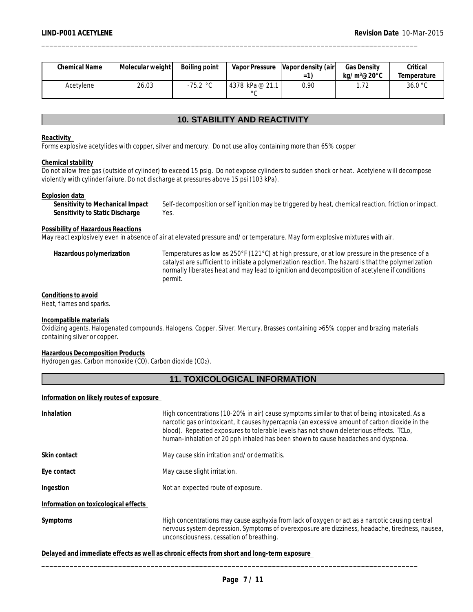| Chemical Name | Molecular weight | Boiling point |                                   | Vapor Pressure   Vapor density (air | <b>Gas Density</b>    | Critical    |
|---------------|------------------|---------------|-----------------------------------|-------------------------------------|-----------------------|-------------|
|               |                  |               |                                   | $=$                                 | ka/m $3@20^{\circ}$ C | Temperature |
| Acetylene     | 26.03            | .75.2 °C      | 4378 kPa @ 21.1<br>$\circ$ $\sim$ | 0.90                                | ユウ<br>. <i>. .</i>    | 36.0 °C     |

## **10. STABILITY AND REACTIVITY**

#### **Reactivity**

Forms explosive acetylides with copper, silver and mercury. Do not use alloy containing more than 65% copper

#### **Chemical stability**

Do not allow free gas (outside of cylinder) to exceed 15 psig. Do not expose cylinders to sudden shock or heat. Acetylene will decompose violently with cylinder failure. Do not discharge at pressures above 15 psi (103 kPa).

#### **Explosion data**

**Sensitivity to Mechanical Impact** Self-decomposition or self ignition may be triggered by heat, chemical reaction, friction or impact. **Sensitivity to Static Discharge** Yes.

## **Possibility of Hazardous Reactions**

May react explosively even in absence of air at elevated pressure and/or temperature. May form explosive mixtures with air.

**Hazardous polymerization** Temperatures as low as 250°F (121°C) at high pressure, or at low pressure in the presence of a catalyst are sufficient to initiate a polymerization reaction. The hazard is that the polymerization normally liberates heat and may lead to ignition and decomposition of acetylene if conditions permit.

#### **Conditions to avoid** Heat, flames and sparks.

#### **Incompatible materials**

Oxidizing agents. Halogenated compounds. Halogens. Copper. Silver. Mercury. Brasses containing >65% copper and brazing materials containing silver or copper.

#### **Hazardous Decomposition Products**

Hydrogen gas. Carbon monoxide (CO). Carbon dioxide (CO2).

## **11. TOXICOLOGICAL INFORMATION**

#### **Information on likely routes of exposure**

| Inhalation                           | High concentrations (10-20% in air) cause symptoms similar to that of being intoxicated. As a<br>narcotic gas or intoxicant, it causes hypercapnia (an excessive amount of carbon dioxide in the<br>blood). Repeated exposures to tolerable levels has not shown deleterious effects. TCLo,<br>human-inhalation of 20 pph inhaled has been shown to cause headaches and dyspnea. |  |  |  |  |
|--------------------------------------|----------------------------------------------------------------------------------------------------------------------------------------------------------------------------------------------------------------------------------------------------------------------------------------------------------------------------------------------------------------------------------|--|--|--|--|
| Skin contact                         | May cause skin irritation and/or dermatitis.                                                                                                                                                                                                                                                                                                                                     |  |  |  |  |
| Eye contact                          | May cause slight irritation.                                                                                                                                                                                                                                                                                                                                                     |  |  |  |  |
| Ingestion                            | Not an expected route of exposure.                                                                                                                                                                                                                                                                                                                                               |  |  |  |  |
| Information on toxicological effects |                                                                                                                                                                                                                                                                                                                                                                                  |  |  |  |  |
| Symptoms                             | High concentrations may cause asphyxia from lack of oxygen or act as a narcotic causing central<br>nervous system depression. Symptoms of overexposure are dizziness, headache, tiredness, nausea,<br>unconsciousness, cessation of breathing.                                                                                                                                   |  |  |  |  |
|                                      |                                                                                                                                                                                                                                                                                                                                                                                  |  |  |  |  |

**Delayed and immediate effects as well as chronic effects from short and long-term exposure**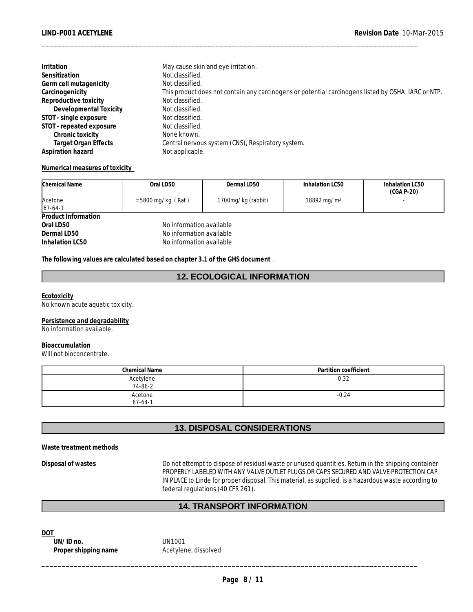| <b>Irritation</b>           | May cause skin and eye irritation.                                                                  |
|-----------------------------|-----------------------------------------------------------------------------------------------------|
| Sensitization               | Not classified.                                                                                     |
| Germ cell mutagenicity      | Not classified.                                                                                     |
| Carcinogenicity             | This product does not contain any carcinogens or potential carcinogens listed by OSHA, IARC or NTP. |
| Reproductive toxicity       | Not classified.                                                                                     |
| Developmental Toxicity      | Not classified.                                                                                     |
| STOT - single exposure      | Not classified.                                                                                     |
| STOT - repeated exposure    | Not classified.                                                                                     |
| Chronic toxicity            | None known.                                                                                         |
| <b>Target Organ Effects</b> | Central nervous system (CNS), Respiratory system.                                                   |
| Aspiration hazard           | Not applicable.                                                                                     |

**Numerical measures of toxicity** 

| Chemical Name          | Oral LD50                | Dermal LD50        | Inhalation LC50         | Inhalation LC50<br>$(CGA P-20)$ |
|------------------------|--------------------------|--------------------|-------------------------|---------------------------------|
| Acetone<br>$ 67-64-1 $ | $=$ 5800 mg/kg (Rat)     | 1700mg/kg (rabbit) | 18892 mg/m <sup>3</sup> |                                 |
| Product Information    |                          |                    |                         |                                 |
| Oral LD50              | No information available |                    |                         |                                 |
| Dermal LD50            | No information available |                    |                         |                                 |
| Inhalation LC50        | No information available |                    |                         |                                 |

**The following values are calculated based on chapter 3.1 of the GHS document** .

## **12. ECOLOGICAL INFORMATION**

**Ecotoxicity** No known acute aquatic toxicity.

**Persistence and degradability** No information available.

**Bioaccumulation**

Will not bioconcentrate.

| <b>Chemical Name</b>     | Partition coefficient |
|--------------------------|-----------------------|
| Acetylene<br>74-86-2     | 0.32                  |
| Acetone<br>$67 - 64 - 1$ | $-0.24$               |

## **13. DISPOSAL CONSIDERATIONS**

**Waste treatment methods**

**Disposal of wastes** Do not attempt to dispose of residual waste or unused quantities. Return in the shipping container PROPERLY LABELED WITH ANY VALVE OUTLET PLUGS OR CAPS SECURED AND VALVE PROTECTION CAP IN PLACE to Linde for proper disposal. This material, as supplied, is a hazardous waste according to federal regulations (40 CFR 261).

## **14. TRANSPORT INFORMATION**

**DOT** 

\_\_\_\_\_\_\_\_\_\_\_\_\_\_\_\_\_\_\_\_\_\_\_\_\_\_\_\_\_\_\_\_\_\_\_\_\_\_\_\_\_\_\_\_\_\_\_\_\_\_\_\_\_\_\_\_\_\_\_\_\_\_\_\_\_\_\_\_\_\_\_\_\_\_\_\_\_\_\_\_\_\_\_\_\_\_\_\_\_\_\_\_\_ **UN/ID no.** UN1001 Proper shipping name **Acetylene**, dissolved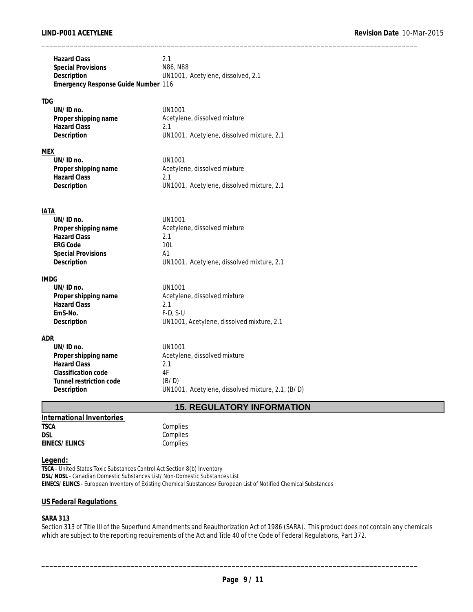| <b>Hazard Class</b><br><b>Special Provisions</b><br>Description<br>Emergency Response Guide Number 116 | 2.1<br>N86, N88<br>UN1001, Acetylene, dissolved, 2.1 |
|--------------------------------------------------------------------------------------------------------|------------------------------------------------------|
| <b>TDG</b>                                                                                             |                                                      |
| UN/ID no.                                                                                              | <b>UN1001</b>                                        |
| Proper shipping name                                                                                   | Acetylene, dissolved mixture                         |
| <b>Hazard Class</b>                                                                                    | 2.1                                                  |
| Description                                                                                            | UN1001, Acetylene, dissolved mixture, 2.1            |
| <u>MEX</u>                                                                                             |                                                      |
| UN/ID no.                                                                                              | <b>UN1001</b>                                        |
| Proper shipping name                                                                                   | Acetylene, dissolved mixture                         |
| <b>Hazard Class</b>                                                                                    | 2.1                                                  |
| Description                                                                                            | UN1001, Acetylene, dissolved mixture, 2.1            |
|                                                                                                        |                                                      |
| IATA<br>UN/ID no.                                                                                      | <b>UN1001</b>                                        |
| Proper shipping name                                                                                   | Acetylene, dissolved mixture                         |
| <b>Hazard Class</b>                                                                                    | 2.1                                                  |
| <b>ERG Code</b>                                                                                        | 10L                                                  |
| <b>Special Provisions</b>                                                                              | A <sub>1</sub>                                       |
| Description                                                                                            | UN1001, Acetylene, dissolved mixture, 2.1            |
| IMDG                                                                                                   |                                                      |
| UN/ID no.                                                                                              | <b>UN1001</b>                                        |
| Proper shipping name                                                                                   | Acetylene, dissolved mixture                         |
| <b>Hazard Class</b>                                                                                    | 2.1                                                  |
| EmS-No.                                                                                                | $F-D, S-U$                                           |
| Description                                                                                            | UN1001, Acetylene, dissolved mixture, 2.1            |
| ADR                                                                                                    |                                                      |
| UN/ID no.                                                                                              | <b>UN1001</b>                                        |
| Proper shipping name                                                                                   | Acetylene, dissolved mixture                         |
| <b>Hazard Class</b>                                                                                    | 2.1                                                  |
| Classification code                                                                                    | 4F                                                   |
| Tunnel restriction code                                                                                | (B/D)                                                |
| Description                                                                                            | UN1001, Acetylene, dissolved mixture, 2.1, (B/D)     |
|                                                                                                        | <b>15. REGULATORY INFORMATION</b>                    |
| International Inventories                                                                              |                                                      |
| <b>TSCA</b>                                                                                            | Complies                                             |

#### **Legend:**

**EINECS/ELINCS** 

**TSCA** - United States Toxic Substances Control Act Section 8(b) Inventory **DSL/NDSL** - Canadian Domestic Substances List/Non-Domestic Substances List **EINECS/ELINCS** - European Inventory of Existing Chemical Substances/European List of Notified Chemical Substances

#### **US Federal Regulations**

**DSL** Complies

#### **SARA 313**

Section 313 of Title III of the Superfund Amendments and Reauthorization Act of 1986 (SARA). This product does not contain any chemicals which are subject to the reporting requirements of the Act and Title 40 of the Code of Federal Regulations, Part 372.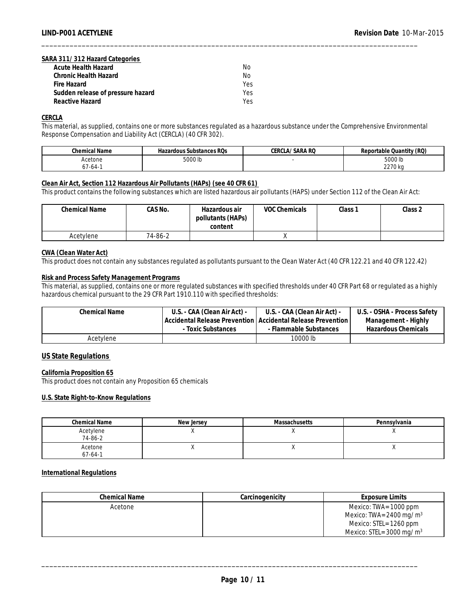#### **SARA 311/312 Hazard Categories**

| Acute Health Hazard               | No  |
|-----------------------------------|-----|
| Chronic Health Hazard             | No  |
| Fire Hazard                       | Yes |
| Sudden release of pressure hazard | Yes |
| Reactive Hazard                   | Yes |

**CERCLA**

This material, as supplied, contains one or more substances regulated as a hazardous substance under the Comprehensive Environmental Response Compensation and Liability Act (CERCLA) (40 CFR 302).

| Chemical Name | Hazardous Substances ROs | CERCLA/SARA RQ | Reportable Quantity (RQ) |
|---------------|--------------------------|----------------|--------------------------|
| Acetone       | 5000 lb                  |                | 5000 lb                  |
| −64-1ل        |                          |                | 2270 kg                  |

\_\_\_\_\_\_\_\_\_\_\_\_\_\_\_\_\_\_\_\_\_\_\_\_\_\_\_\_\_\_\_\_\_\_\_\_\_\_\_\_\_\_\_\_\_\_\_\_\_\_\_\_\_\_\_\_\_\_\_\_\_\_\_\_\_\_\_\_\_\_\_\_\_\_\_\_\_\_\_\_\_\_\_\_\_\_\_\_\_\_\_\_\_

#### **Clean Air Act, Section 112 Hazardous Air Pollutants (HAPs) (see 40 CFR 61)**

This product contains the following substances which are listed hazardous air pollutants (HAPS) under Section 112 of the Clean Air Act:

| <b>Chemical Name</b> | CAS No. | Hazardous air<br>pollutants (HAPs)<br>content | VOC Chemicals | Class 1 | Class 2 |
|----------------------|---------|-----------------------------------------------|---------------|---------|---------|
| Acetylene            | 74-86-2 |                                               | $\lambda$     |         |         |

#### **CWA (Clean Water Act)**

This product does not contain any substances regulated as pollutants pursuant to the Clean Water Act (40 CFR 122.21 and 40 CFR 122.42)

#### **Risk and Process Safety Management Programs**

This material, as supplied, contains one or more regulated substances with specified thresholds under 40 CFR Part 68 or regulated as a highly hazardous chemical pursuant to the 29 CFR Part 1910.110 with specified thresholds:

| Chemical Name | U.S. - CAA (Clean Air Act) - | U.S. - CAA (Clean Air Act) -                                  | U.S. - OSHA - Process Safety |
|---------------|------------------------------|---------------------------------------------------------------|------------------------------|
|               |                              | Accidental Release Prevention   Accidental Release Prevention | Management - Highly          |
|               | - Toxic Substances           | - Flammable Substances                                        | Hazardous Chemicals          |
| Acetylene     |                              | 10000 lb                                                      |                              |

#### **US State Regulations**

#### **California Proposition 65**

This product does not contain any Proposition 65 chemicals

#### **U.S. State Right-to-Know Regulations**

| <b>Chemical Name</b>     | New Jersey | <b>Massachusetts</b> | Pennsylvania |
|--------------------------|------------|----------------------|--------------|
| Acetylene<br>74-86-2     | $\cdots$   |                      |              |
| Acetone<br>$67 - 64 - 1$ | $\cdots$   |                      | $\cdots$     |

#### **International Regulations**

| Chemical Name | Carcinogenicity | Exposure Limits                       |
|---------------|-----------------|---------------------------------------|
| Acetone       |                 | Mexico: TWA= 1000 ppm                 |
|               |                 | Mexico: TWA= $2400 \,\mathrm{mg/m^3}$ |
|               |                 | Mexico: STEL= 1260 ppm                |
|               |                 | Mexico: STEL= $3000 \text{ mg/m}^3$   |